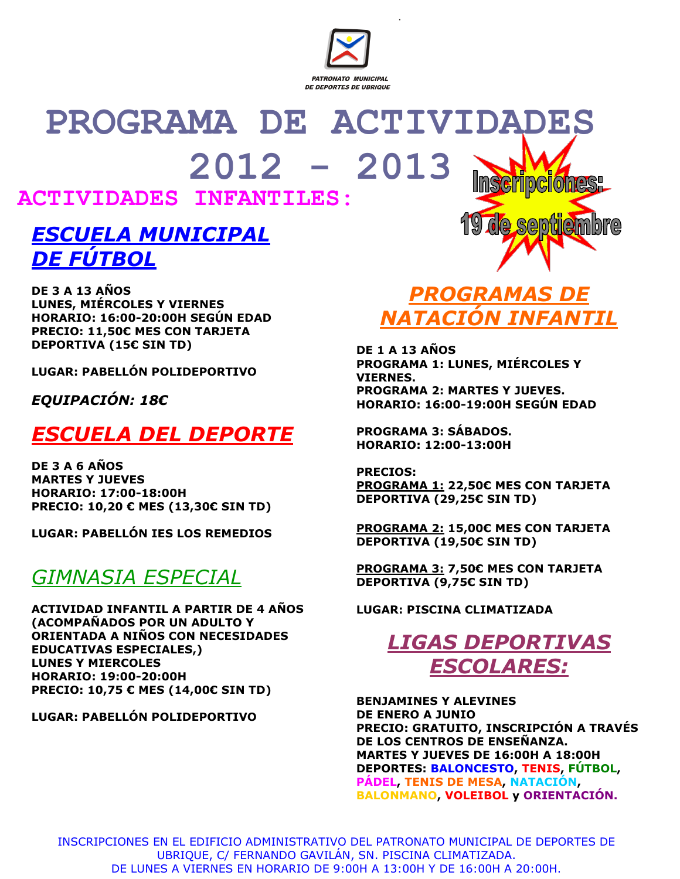

# **PROGRAMA DE ACTIVIDADES 2012 - 2013**

#### **ACTIVIDADES INFANTILES:**

### *ESCUELA MUNICIPAL DE FÚTBOL*

**DE 3 A 13 AÑOS LUNES, MIÉRCOLES Y VIERNES HORARIO: 16:00-20:00H SEGÚN EDAD PRECIO: 11,50€ MES CON TARJETA DEPORTIVA (15€ SIN TD)**

**LUGAR: PABELLÓN POLIDEPORTIVO**

*EQUIPACIÓN: 18€*

# *ESCUELA DEL DEPORTE*

**DE 3 A 6 AÑOS MARTES Y JUEVES HORARIO: 17:00-18:00H PRECIO: 10,20 € MES (13,30€ SIN TD)**

**LUGAR: PABELLÓN IES LOS REMEDIOS**

## *GIMNASIA ESPECIAL*

**ACTIVIDAD INFANTIL A PARTIR DE 4 AÑOS (ACOMPAÑADOS POR UN ADULTO Y ORIENTADA A NIÑOS CON NECESIDADES EDUCATIVAS ESPECIALES,) LUNES Y MIERCOLES HORARIO: 19:00-20:00H PRECIO: 10,75 € MES (14,00€ SIN TD)**

**LUGAR: PABELLÓN POLIDEPORTIVO**

# *PROGRAMAS DE NATACIÓN INFANTIL*

**GAMTAMINA** 

**DE 1 A 13 AÑOS PROGRAMA 1: LUNES, MIÉRCOLES Y VIERNES. PROGRAMA 2: MARTES Y JUEVES. HORARIO: 16:00-19:00H SEGÚN EDAD**

**PROGRAMA 3: SÁBADOS. HORARIO: 12:00-13:00H**

**PRECIOS: PROGRAMA 1: 22,50€ MES CON TARJETA DEPORTIVA (29,25€ SIN TD)**

**PROGRAMA 2: 15,00€ MES CON TARJETA DEPORTIVA (19,50€ SIN TD)**

**PROGRAMA 3: 7,50€ MES CON TARJETA DEPORTIVA (9,75€ SIN TD)**

**LUGAR: PISCINA CLIMATIZADA**

# *LIGAS DEPORTIVAS ESCOLARES:*

**BENJAMINES Y ALEVINES DE ENERO A JUNIO PRECIO: GRATUITO, INSCRIPCIÓN A TRAVÉS DE LOS CENTROS DE ENSEÑANZA. MARTES Y JUEVES DE 16:00H A 18:00H DEPORTES: BALONCESTO, TENIS, FÚTBOL, PÁDEL, TENIS DE MESA, NATACIÓN, BALONMANO, VOLEIBOL y ORIENTACIÓN.**

INSCRIPCIONES EN EL EDIFICIO ADMINISTRATIVO DEL PATRONATO MUNICIPAL DE DEPORTES DE UBRIQUE, C/ FERNANDO GAVILÁN, SN. PISCINA CLIMATIZADA. DE LUNES A VIERNES EN HORARIO DE 9:00H A 13:00H Y DE 16:00H A 20:00H.